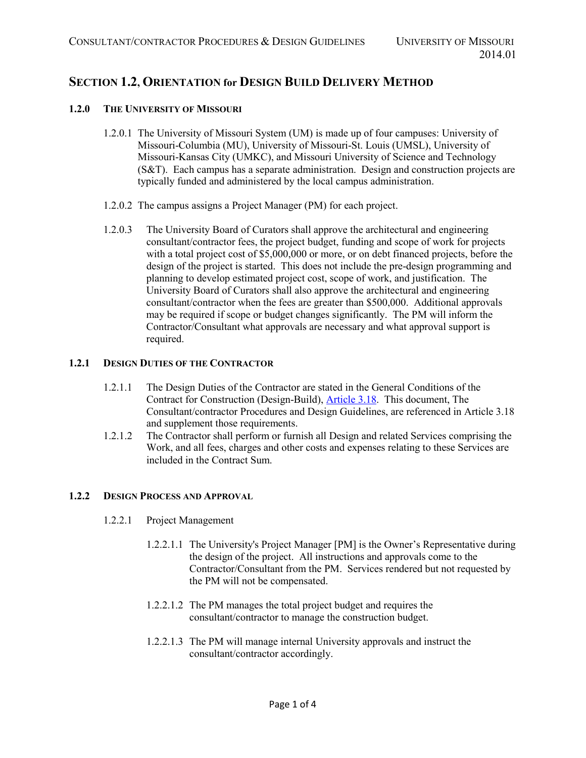# **SECTION 1.2, ORIENTATION for DESIGN BUILD DELIVERY METHOD**

### **1.2.0 THE UNIVERSITY OF MISSOURI**

- 1.2.0.1 The University of Missouri System (UM) is made up of four campuses: University of Missouri-Columbia (MU), University of Missouri-St. Louis (UMSL), University of Missouri-Kansas City (UMKC), and Missouri University of Science and Technology (S&T). Each campus has a separate administration. Design and construction projects are typically funded and administered by the local campus administration.
- 1.2.0.2 The campus assigns a Project Manager (PM) for each project.
- 1.2.0.3 The University Board of Curators shall approve the architectural and engineering consultant/contractor fees, the project budget, funding and scope of work for projects with a total project cost of \$5,000,000 or more, or on debt financed projects, before the design of the project is started. This does not include the pre-design programming and planning to develop estimated project cost, scope of work, and justification. The University Board of Curators shall also approve the architectural and engineering consultant/contractor when the fees are greater than \$500,000. Additional approvals may be required if scope or budget changes significantly. The PM will inform the Contractor/Consultant what approvals are necessary and what approval support is required.

## **1.2.1 DESIGN DUTIES OF THE CONTRACTOR**

- 1.2.1.1 The Design Duties of the Contractor are stated in the General Conditions of the Contract for Construction (Design-Build), **Article 3.18.** This document, The Consultant/contractor Procedures and Design Guidelines, are referenced in Article 3.18 and supplement those requirements.
- 1.2.1.2 The Contractor shall perform or furnish all Design and related Services comprising the Work, and all fees, charges and other costs and expenses relating to these Services are included in the Contract Sum.

#### **1.2.2 DESIGN PROCESS AND APPROVAL**

- 1.2.2.1 Project Management
	- 1.2.2.1.1 The University's Project Manager [PM] is the Owner's Representative during the design of the project. All instructions and approvals come to the Contractor/Consultant from the PM. Services rendered but not requested by the PM will not be compensated.
	- 1.2.2.1.2 The PM manages the total project budget and requires the consultant/contractor to manage the construction budget.
	- 1.2.2.1.3 The PM will manage internal University approvals and instruct the consultant/contractor accordingly.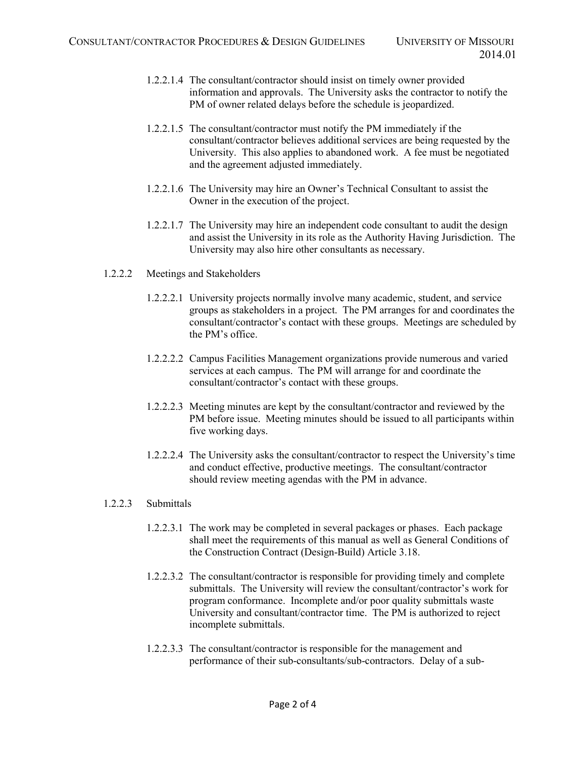- 1.2.2.1.4 The consultant/contractor should insist on timely owner provided information and approvals. The University asks the contractor to notify the PM of owner related delays before the schedule is jeopardized.
- 1.2.2.1.5 The consultant/contractor must notify the PM immediately if the consultant/contractor believes additional services are being requested by the University. This also applies to abandoned work. A fee must be negotiated and the agreement adjusted immediately.
- 1.2.2.1.6 The University may hire an Owner's Technical Consultant to assist the Owner in the execution of the project.
- 1.2.2.1.7 The University may hire an independent code consultant to audit the design and assist the University in its role as the Authority Having Jurisdiction. The University may also hire other consultants as necessary.
- 1.2.2.2 Meetings and Stakeholders
	- 1.2.2.2.1 University projects normally involve many academic, student, and service groups as stakeholders in a project. The PM arranges for and coordinates the consultant/contractor's contact with these groups. Meetings are scheduled by the PM's office.
	- 1.2.2.2.2 Campus Facilities Management organizations provide numerous and varied services at each campus. The PM will arrange for and coordinate the consultant/contractor's contact with these groups.
	- 1.2.2.2.3 Meeting minutes are kept by the consultant/contractor and reviewed by the PM before issue. Meeting minutes should be issued to all participants within five working days.
	- 1.2.2.2.4 The University asks the consultant/contractor to respect the University's time and conduct effective, productive meetings. The consultant/contractor should review meeting agendas with the PM in advance.

#### 1.2.2.3 Submittals

- 1.2.2.3.1 The work may be completed in several packages or phases. Each package shall meet the requirements of this manual as well as General Conditions of the Construction Contract (Design-Build) Article 3.18.
- 1.2.2.3.2 The consultant/contractor is responsible for providing timely and complete submittals. The University will review the consultant/contractor's work for program conformance. Incomplete and/or poor quality submittals waste University and consultant/contractor time. The PM is authorized to reject incomplete submittals.
- 1.2.2.3.3 The consultant/contractor is responsible for the management and performance of their sub-consultants/sub-contractors. Delay of a sub-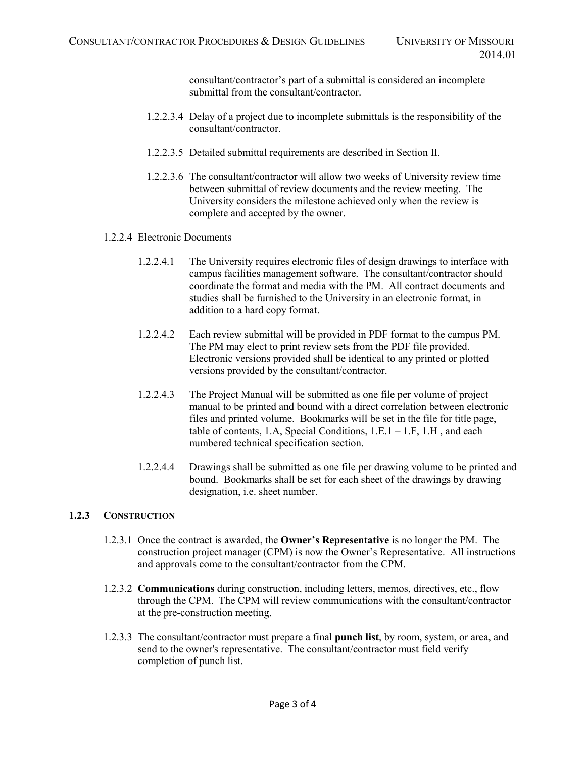consultant/contractor's part of a submittal is considered an incomplete submittal from the consultant/contractor.

- 1.2.2.3.4 Delay of a project due to incomplete submittals is the responsibility of the consultant/contractor.
- 1.2.2.3.5 Detailed submittal requirements are described in Section II.
- 1.2.2.3.6 The consultant/contractor will allow two weeks of University review time between submittal of review documents and the review meeting. The University considers the milestone achieved only when the review is complete and accepted by the owner.
- 1.2.2.4 Electronic Documents
	- 1.2.2.4.1 The University requires electronic files of design drawings to interface with campus facilities management software. The consultant/contractor should coordinate the format and media with the PM. All contract documents and studies shall be furnished to the University in an electronic format, in addition to a hard copy format.
	- 1.2.2.4.2 Each review submittal will be provided in PDF format to the campus PM. The PM may elect to print review sets from the PDF file provided. Electronic versions provided shall be identical to any printed or plotted versions provided by the consultant/contractor.
	- 1.2.2.4.3 The Project Manual will be submitted as one file per volume of project manual to be printed and bound with a direct correlation between electronic files and printed volume. Bookmarks will be set in the file for title page, table of contents, 1.A, Special Conditions,  $1.E.1 - 1.F, 1.H$ , and each numbered technical specification section.
	- 1.2.2.4.4 Drawings shall be submitted as one file per drawing volume to be printed and bound. Bookmarks shall be set for each sheet of the drawings by drawing designation, i.e. sheet number.

## **1.2.3 CONSTRUCTION**

- 1.2.3.1 Once the contract is awarded, the **Owner's Representative** is no longer the PM. The construction project manager (CPM) is now the Owner's Representative. All instructions and approvals come to the consultant/contractor from the CPM.
- 1.2.3.2 **Communications** during construction, including letters, memos, directives, etc., flow through the CPM. The CPM will review communications with the consultant/contractor at the pre-construction meeting.
- 1.2.3.3 The consultant/contractor must prepare a final **punch list**, by room, system, or area, and send to the owner's representative. The consultant/contractor must field verify completion of punch list.